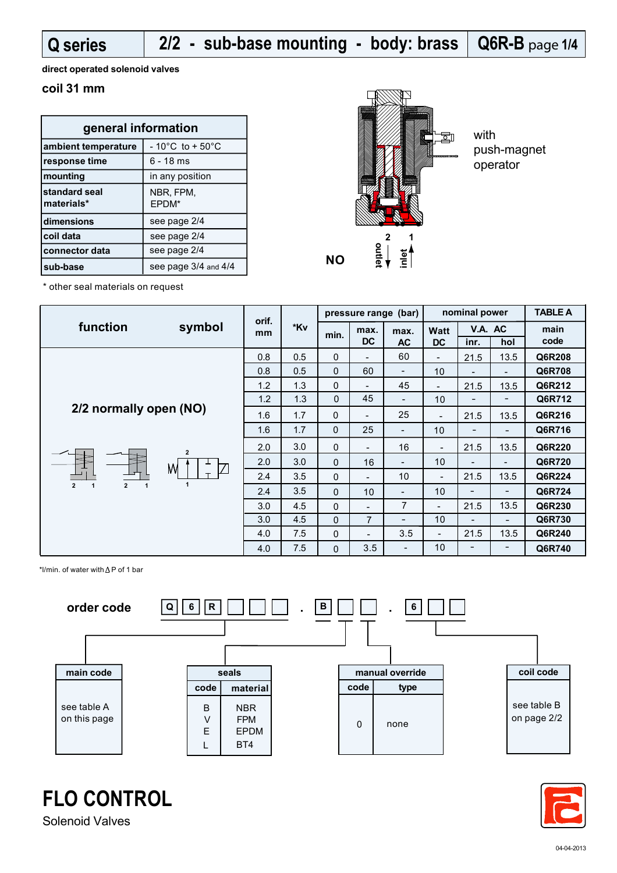**Q series** 

# **Q6R-B** page **1/4 2/2 - sub-base mounting - body: brass**

**direct operated solenoid valves**

#### **coil 31 mm**

| general information         |                                      |  |  |  |  |  |
|-----------------------------|--------------------------------------|--|--|--|--|--|
| ambient temperature         | $-10^{\circ}$ C to + 50 $^{\circ}$ C |  |  |  |  |  |
| response time               | 6 - 18 ms                            |  |  |  |  |  |
| mounting                    | in any position                      |  |  |  |  |  |
| standard seal<br>materials* | NBR, FPM,<br>EPDM*                   |  |  |  |  |  |
| dimensions                  | see page 2/4                         |  |  |  |  |  |
| coil data                   | see page 2/4                         |  |  |  |  |  |
| connector data              | see page 2/4                         |  |  |  |  |  |
| sub-base                    | see page 3/4 and 4/4                 |  |  |  |  |  |



with push-magnet operator

\* other seal materials on request

|                                                     | symbol | orif.<br>*Kv<br>mm |             | pressure range (bar)     |                          |                          | nominal power            |                          |                          | <b>TABLE A</b> |
|-----------------------------------------------------|--------|--------------------|-------------|--------------------------|--------------------------|--------------------------|--------------------------|--------------------------|--------------------------|----------------|
| function                                            |        |                    | min.        | max.                     | max.                     | Watt                     | V.A. AC                  |                          | main                     |                |
|                                                     |        |                    |             |                          | <b>DC</b>                | <b>AC</b>                | <b>DC</b>                | inr.                     | hol                      | code           |
|                                                     |        | 0.8                | 0.5         | $\mathbf 0$              | $\overline{\phantom{0}}$ | 60                       | $\overline{\phantom{a}}$ | 21.5                     | 13.5                     | Q6R208         |
|                                                     |        | 0.8                | 0.5         | $\mathbf{0}$             | 60                       | $\overline{\phantom{a}}$ | 10                       | -                        | $\overline{\phantom{a}}$ | Q6R708         |
|                                                     |        | 1.2                | 1.3         | $\mathbf 0$              | $\blacksquare$           | 45                       | $\overline{\phantom{a}}$ | 21.5                     | 13.5                     | Q6R212         |
|                                                     |        | 1.2                | 1.3         | $\mathbf 0$              | 45                       | $\overline{\phantom{a}}$ | 10                       | $\overline{\phantom{a}}$ | $\overline{\phantom{a}}$ | Q6R712         |
| 2/2 normally open (NO)<br>$\overline{2}$<br>M<br>17 | 1.6    | 1.7                | $\mathbf 0$ | $\overline{\phantom{a}}$ | 25                       | $\overline{\phantom{a}}$ | 21.5                     | 13.5                     | Q6R216                   |                |
|                                                     |        | 1.6                | 1.7         | $\Omega$                 | 25                       | $\overline{\phantom{a}}$ | 10                       | -                        |                          | Q6R716         |
|                                                     |        | 2.0                | 3.0         | $\mathbf 0$              | $\overline{\phantom{0}}$ | 16                       | $\overline{\phantom{a}}$ | 21.5                     | 13.5                     | Q6R220         |
|                                                     |        | 2.0                | 3.0         | $\mathbf{0}$             | 16                       | $\overline{\phantom{a}}$ | 10 <sup>°</sup>          | $\overline{\phantom{0}}$ | $\overline{\phantom{0}}$ | Q6R720         |
|                                                     |        | 2.4                | 3.5         | $\mathbf{0}$             | $\overline{\phantom{0}}$ | 10                       | $\overline{\phantom{a}}$ | 21.5                     | 13.5                     | Q6R224         |
| $\overline{2}$<br>$\overline{2}$                    |        | 2.4                | 3.5         | $\mathbf{0}$             | 10                       | $\overline{\phantom{a}}$ | 10 <sup>°</sup>          |                          |                          | Q6R724         |
|                                                     |        | 3.0                | 4.5         | $\mathbf{0}$             | $\overline{a}$           | $\overline{7}$           | $\overline{\phantom{a}}$ | 21.5                     | 13.5                     | Q6R230         |
|                                                     |        | 3.0                | 4.5         | $\Omega$                 | $\overline{7}$           | $\qquad \qquad -$        | 10                       | $\overline{\phantom{a}}$ | $\overline{\phantom{0}}$ | Q6R730         |
|                                                     |        | 4.0                | 7.5         | $\mathbf 0$              | $\overline{\phantom{0}}$ | 3.5                      | $\overline{\phantom{a}}$ | 21.5                     | 13.5                     | Q6R240         |
|                                                     |        | 4.0                | 7.5         | $\mathbf{0}$             | 3.5                      | $\overline{\phantom{a}}$ | 10                       | $\overline{\phantom{a}}$ | -                        | Q6R740         |

\*l/min. of water with  $\Delta P$  of 1 bar





Solenoid Valves

**FLO CONTROL**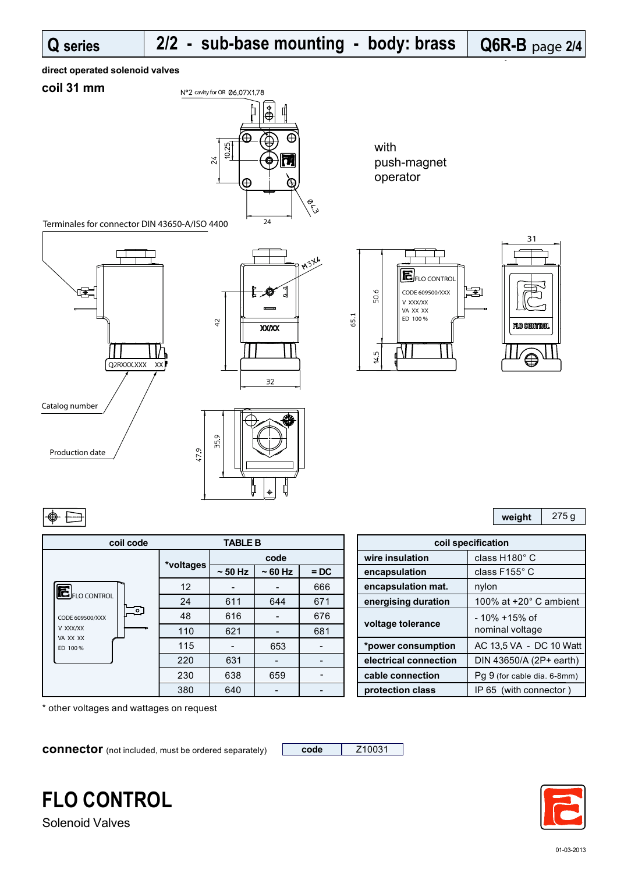65.1

50.6

14.5

#### **direct operated solenoid valves**

### **coil 31 mm**



with push-magnet operator

> CODE 609500/XXX V XXX/XX VA XX XX ED 100 %

EFLO CONTROL

Terminales for connector DIN 43650-A/ISO 4400







|--|

| coil code             | <b>TABLE B</b> |                          |          |        |  |                       | coil specification   |
|-----------------------|----------------|--------------------------|----------|--------|--|-----------------------|----------------------|
|                       |                |                          | code     |        |  | wire insulation       | class H <sup>®</sup> |
|                       | *voltages      | $\sim$ 50 Hz             | $~50$ Hz | $=$ DC |  | encapsulation         | class F1             |
| $E_{FLO\,CONTROL}$    | 12             |                          |          | 666    |  | encapsulation mat.    | nylon                |
| _ಂ<br>CODE 609500/XXX | 24             | 611                      | 644      | 671    |  | energising duration   | 100% at              |
|                       | 48             | 616                      |          | 676    |  |                       | $-10\% +$            |
| V XXX/XX              | 110            | 621                      |          | 681    |  | voltage tolerance     | nominal              |
| VA XX XX<br>ED 100 %  | 115            | $\overline{\phantom{a}}$ | 653      |        |  | *power consumption    | AC 13,5              |
|                       | 220            | 631                      |          |        |  | electrical connection | <b>DIN 436</b>       |
|                       | 230            | 638                      | 659      |        |  | cable connection      | Pg 9 (for            |
|                       | 380            | 640                      |          |        |  | protection class      | IP 65 (v             |

\* other voltages and wattages on request

**connector** (not included, must be ordered separately) **code** | Z10031



團

**weight** 275 g

31

**10 CONTRO** 

⊜

| <b>TABLE B</b> |              |          | coil specification |                       |                               |
|----------------|--------------|----------|--------------------|-----------------------|-------------------------------|
|                | code         |          |                    | wire insulation       | class H180° C                 |
| ltages         | $\sim$ 50 Hz | $~50$ Hz | $=$ DC             | encapsulation         | class F155° C                 |
| 12             |              |          | 666                | encapsulation mat.    | nylon                         |
| 24             | 611          | 644      | 671                | energising duration   | 100% at $+20^\circ$ C ambient |
| 48             | 616          |          | 676                |                       | $-10\% + 15\%$ of             |
| 110            | 621          |          | 681                | voltage tolerance     | nominal voltage               |
| 115            |              | 653      |                    | *power consumption    | AC 13,5 VA - DC 10 Watt       |
| 220            | 631          |          |                    | electrical connection | DIN 43650/A (2P+ earth)       |
| 230            | 638          | 659      |                    | cable connection      | Pq 9 (for cable dia. 6-8mm)   |
| 380            | 640          |          |                    | protection class      | IP 65 (with connector)        |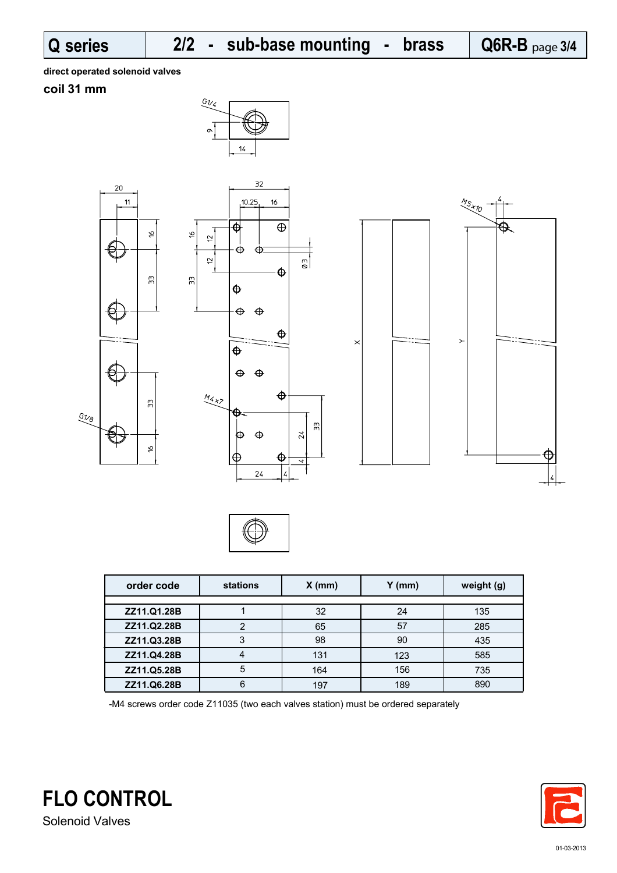**direct operated solenoid valves**

## **coil 31 mm**







| order code  | stations | $X$ (mm) | $Y$ (mm) | weight (g) |
|-------------|----------|----------|----------|------------|
|             |          |          |          |            |
| ZZ11.Q1.28B |          | 32       | 24       | 135        |
| ZZ11.Q2.28B | っ        | 65       | 57       | 285        |
| ZZ11.Q3.28B | 3        | 98       | 90       | 435        |
| ZZ11.Q4.28B |          | 131      | 123      | 585        |
| ZZ11.Q5.28B | 5        | 164      | 156      | 735        |
| ZZ11.Q6.28B | 6        | 197      | 189      | 890        |

-M4 screws order code Z11035 (two each valves station) must be ordered separately